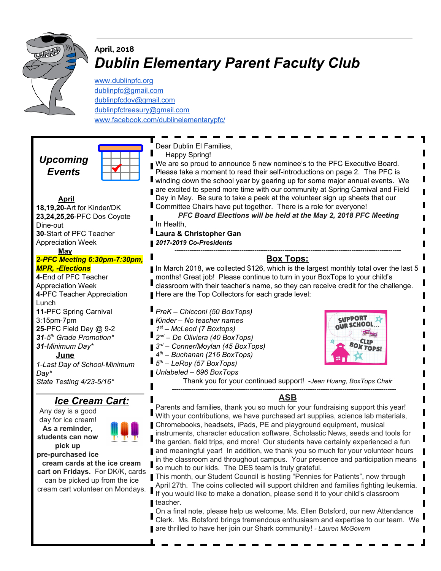

### **April, 2018** *Dublin Elementary Parent Faculty Club*

[www.dublinpfc.org](http://www.dublinpfc.org/) [dublinpfc@gmail.com](mailto:dublinpfc@gmail.com) [dublinpfcdov@gmail.com](mailto:dublinpfcdov@gmail.com) [dublinpfctreasury@gmail.com](mailto:dublinpfctreasury@gmail.com) [www.facebook.com/dublinelementarypfc/](http://www.facebook.com/dublinelementarypfc/)

*Upcoming Events*



Dear Dublin El Families,

Happy Spring!

We are so proud to announce 5 new nominee's to the PFC Executive Board. Please take a moment to read their self-introductions on page 2. The PFC is winding down the school year by gearing up for some major annual events. We are excited to spend more time with our community at Spring Carnival and Field Day in May. Be sure to take a peek at the volunteer sign up sheets that our Committee Chairs have put together. There is a role for everyone!

*PFC Board Elections will be held at the May 2, 2018 PFC Meeting* In Health,

#### L **Laura & Christopher Gan**

#### *2017-2019 Co-Presidents*

#### *---------------------------------------------------------------------------------------------------------* **Box Tops:**

In March 2018, we collected \$126, which is the largest monthly total over the last 5 months! Great job! Please continue to turn in your BoxTops to your child's classroom with their teacher's name, so they can receive credit for the challenge. Here are the Top Collectors for each grade level:

*PreK – Chicconi (50 BoxTops) Kinder – No teacher names st – McLeod (7 Boxtops) nd – De Oliviera (40 BoxTops) rd – Conner/Moylan (45 BoxTops) th – Buchanan (216 BoxTops) th – LeRoy (57 BoxTops) Unlabeled – 696 BoxTops*



Thank you for your continued support! -*Jean Huang, BoxTops Chair*

#### *--------------------------------------------------------------------------------------------------------* **ASB**

Parents and families, thank you so much for your fundraising support this year!  $\overline{\phantom{a}}$ With your contributions, we have purchased art supplies, science lab materials, Chromebooks, headsets, iPads, PE and playground equipment, musical instruments, character education software, Scholastic News, seeds and tools for the garden, field trips, and more! Our students have certainly experienced a fun and meaningful year! In addition, we thank you so much for your volunteer hours in the classroom and throughout campus. Your presence and participation means so much to our kids. The DES team is truly grateful.

This month, our Student Council is hosting "Pennies for Patients", now through April 27th. The coins collected will support children and families fighting leukemia. If you would like to make a donation, please send it to your child's classroom teacher.

On a final note, please help us welcome, Ms. Ellen Botsford, our new Attendance Clerk. Ms. Botsford brings tremendous enthusiasm and expertise to our team. We are thrilled to have her join our Shark community! *- Lauren McGovern*

#### **April 18,19,20**-Art for Kinder/DK **23,24,25,26**-PFC Dos Coyote Dine-out **30**-Start of PFC Teacher Appreciation Week

**May**

#### *2-PFC Meeting 6:30pm-7:30pm, MPR, -Elections*

**4**-End of PFC Teacher Appreciation Week **4-**PFC Teacher Appreciation Lunch **11-**PFC Spring Carnival 3:15pm-7pm **25**-PFC Field Day @ 9-2 *31-5 th Grade Promotion\* 31-Minimum Day\** **June**

*1-Last Day of School-Minimum Day\* State Testing 4/23-5/16\**

#### **\_\_\_\_\_\_\_\_\_\_\_\_\_\_\_\_\_\_\_\_\_\_\_\_\_\_\_** *Ice Cream Cart:*

Any day is a good day for ice cream! **As a reminder, students can now pick up pre-purchased ice**



**cream cards at the ice cream cart on Fridays.** For DK/K, cards can be picked up from the ice cream cart volunteer on Mondays.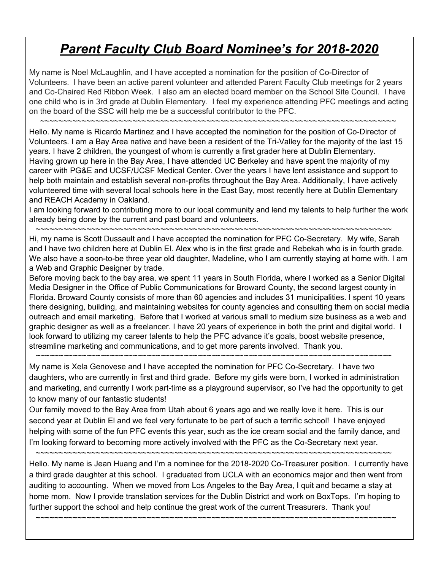# *Parent Faculty Club Board Nominee's for 2018-2020*

My name is Noel McLaughlin, and I have accepted a nomination for the position of Co-Director of Volunteers. I have been an active parent volunteer and attended Parent Faculty Club meetings for 2 years and Co-Chaired Red Ribbon Week. I also am an elected board member on the School Site Council. I have one child who is in 3rd grade at Dublin Elementary. I feel my experience attending PFC meetings and acting on the board of the SSC will help me be a successful contributor to the PFC.

~~~~~~~~~~~~~~~~~~~~~~~~~~~~~~~~~~~~~~~~~~~~~~~~~~~~~~~~~~~~~~~~~~~~~~~~~~~~~

Hello. My name is Ricardo Martinez and I have accepted the nomination for the position of Co-Director of Volunteers. I am a Bay Area native and have been a resident of the Tri-Valley for the majority of the last 15 years. I have 2 children, the youngest of whom is currently a first grader here at Dublin Elementary. Having grown up here in the Bay Area, I have attended UC Berkeley and have spent the majority of my career with PG&E and UCSF/UCSF Medical Center. Over the years I have lent assistance and support to help both maintain and establish several non-profits throughout the Bay Area. Additionally, I have actively volunteered time with several local schools here in the East Bay, most recently here at Dublin Elementary and REACH Academy in Oakland.

I am looking forward to contributing more to our local community and lend my talents to help further the work already being done by the current and past board and volunteers.

~~~~~~~~~~~~~~~~~~~~~~~~~~~~~~~~~~~~~~~~~~~~~~~~~~~~~~~~~~~~~~~~~~~~~~~~~~~~~ Hi, my name is Scott Dussault and I have accepted the nomination for PFC Co-Secretary. My wife, Sarah

and I have two children here at Dublin El. Alex who is in the first grade and Rebekah who is in fourth grade. We also have a soon-to-be three year old daughter, Madeline, who I am currently staying at home with. I am a Web and Graphic Designer by trade.

Before moving back to the bay area, we spent 11 years in South Florida, where I worked as a Senior Digital Media Designer in the Office of Public Communications for Broward County, the second largest county in Florida. Broward County consists of more than 60 agencies and includes 31 municipalities. I spent 10 years there designing, building, and maintaining websites for county agencies and consulting them on social media outreach and email marketing. Before that I worked at various small to medium size business as a web and graphic designer as well as a freelancer. I have 20 years of experience in both the print and digital world. I look forward to utilizing my career talents to help the PFC advance it's goals, boost website presence, streamline marketing and communications, and to get more parents involved. Thank you.

My name is Xela Genovese and I have accepted the nomination for PFC Co-Secretary. I have two daughters, who are currently in first and third grade. Before my girls were born, I worked in administration and marketing, and currently I work part-time as a playground supervisor, so I've had the opportunity to get to know many of our fantastic students!

~~~~~~~~~~~~~~~~~~~~~~~~~~~~~~~~~~~~~~~~~~~~~~~~~~~~~~~~~~~~~~~~~~~~~~~~~~~~~

Our family moved to the Bay Area from Utah about 6 years ago and we really love it here. This is our second year at Dublin El and we feel very fortunate to be part of such a terrific school! I have enjoyed helping with some of the fun PFC events this year, such as the ice cream social and the family dance, and I'm looking forward to becoming more actively involved with the PFC as the Co-Secretary next year.

~~~~~~~~~~~~~~~~~~~~~~~~~~~~~~~~~~~~~~~~~~~~~~~~~~~~~~~~~~~~~~~~~~~~~~~~~~~~~

Hello. My name is Jean Huang and I'm a nominee for the 2018-2020 Co-Treasurer position. I currently have a third grade daughter at this school. I graduated from UCLA with an economics major and then went from auditing to accounting. When we moved from Los Angeles to the Bay Area, I quit and became a stay at home mom. Now I provide translation services for the Dublin District and work on BoxTops. I'm hoping to further support the school and help continue the great work of the current Treasurers. Thank you!

~~~~~~~~~~~~~~~~~~~~~~~~~~~~~~~~~~~~~~~~~~~~~~~~~~~~~~~~~~~~~~~~~~~~~~~~~~~~~~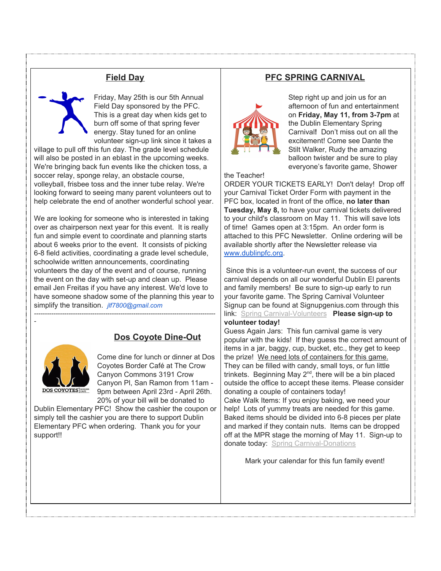### **Field Day**

Friday, May 25th is our 5th Annual Field Day sponsored by the PFC. This is a great day when kids get to burn off some of that spring fever energy. Stay tuned for an online volunteer sign-up link since it takes a

village to pull off this fun day. The grade level schedule will also be posted in an eblast in the upcoming weeks. We're bringing back fun events like the chicken toss, a soccer relay, sponge relay, an obstacle course, volleyball, frisbee toss and the inner tube relay. We're looking forward to seeing many parent volunteers out to help celebrate the end of another wonderful school year.

We are looking for someone who is interested in taking over as chairperson next year for this event. It is really fun and simple event to coordinate and planning starts about 6 weeks prior to the event. It consists of picking 6-8 field activities, coordinating a grade level schedule, schoolwide written announcements, coordinating volunteers the day of the event and of course, running the event on the day with set-up and clean up. Please email Jen Freitas if you have any interest. We'd love to have someone shadow some of the planning this year to simplify the transition. *jlf7800@gmail.com*

*------------------------------------------------------------------------------------*

## **Dos Coyote Dine-Out**



*-*

Come dine for lunch or dinner at Dos Coyotes Border Café at The Crow Canyon Commons 3191 Crow Canyon Pl, San Ramon from 11am - 9pm between April 23rd - April 26th. 20% of your bill will be donated to

Dublin Elementary PFC! Show the cashier the coupon or simply tell the cashier you are there to support Dublin Elementary PFC when ordering. Thank you for your support!!

#### **PFC SPRING CARNIVAL**



Step right up and join us for an afternoon of fun and entertainment on **Friday, May 11, from 3-7pm** at the Dublin Elementary Spring Carnival**!** Don't miss out on all the excitement! Come see Dante the Stilt Walker, Rudy the amazing balloon twister and be sure to play everyone's favorite game, Shower

#### the Teacher!

ORDER YOUR TICKETS EARLY! Don't delay! Drop off your Carnival Ticket Order Form with payment in the PFC box, located in front of the office, **no later than Tuesday, May 8,** to have your carnival tickets delivered to your child's classroom on May 11. This will save lots of time! Games open at 3:15pm. An order form is attached to this PFC Newsletter. Online ordering will be available shortly after the Newsletter release via [www.dublinpfc.org.](http://www.dublinpfc.org/)

Since this is a volunteer-run event, the success of our carnival depends on all our wonderful Dublin El parents and family members! Be sure to sign-up early to run your favorite game. The Spring Carnival Volunteer Signup can be found at Signupgenius.com through this link: Spring [Carnival-Volunteers](http://www.signupgenius.com/go/5080E45ABAE2EA02-spring5) **Please sign-up to volunteer today!**

Guess Again Jars: This fun carnival game is very popular with the kids! If they guess the correct amount of items in a jar, baggy, cup, bucket, etc., they get to keep the prize! We need lots of containers for this game. They can be filled with candy, small toys, or fun little trinkets. Beginning May 2<sup>nd</sup>, there will be a bin placed outside the office to accept these items. Please consider donating a couple of containers today!

Cake Walk Items: If you enjoy baking, we need your help! Lots of yummy treats are needed for this game. Baked items should be divided into 6-8 pieces per plate and marked if they contain nuts. Items can be dropped off at the MPR stage the morning of May 11. Sign-up to donate today: Spring [Carnival-Donations](http://www.signupgenius.com/go/5080E45ABAE2EA02-spring4)

Mark your calendar for this fun family event!